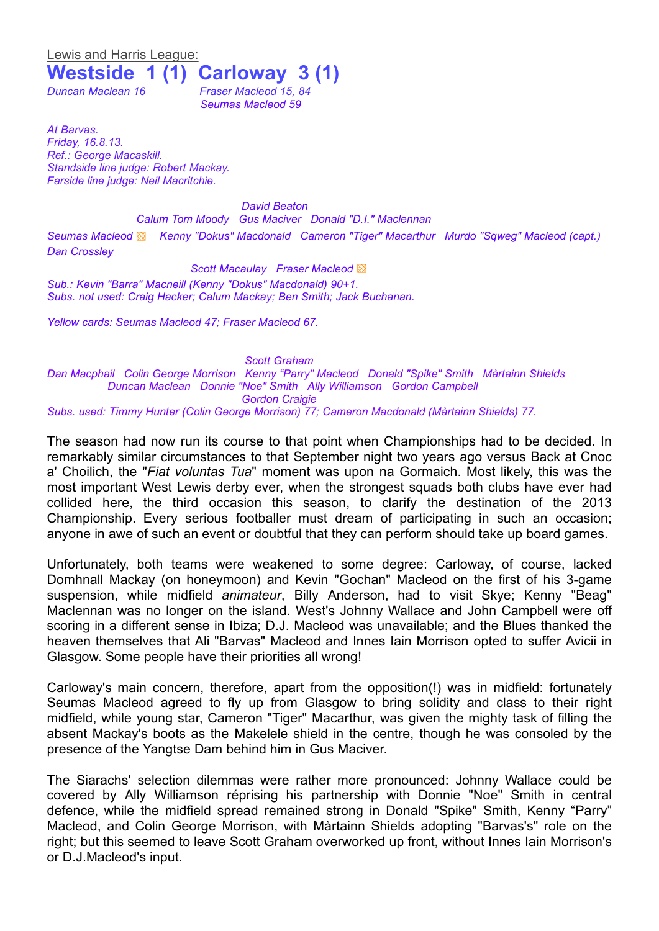Lewis and Harris League:

## **Westside 1 (1) Carloway 3 (1)**

*Duncan Maclean 16 Fraser Macleod 15, 84*

*Seumas Macleod 59*

*At Barvas. Friday, 16.8.13. Ref.: George Macaskill. Standside line judge: Robert Mackay. Farside line judge: Neil Macritchie.*

*David Beaton*

*Calum Tom Moody Gus Maciver Donald "D.I." Maclennan Seumas Macleod* ▩ *Kenny "Dokus" Macdonald Cameron "Tiger" Macarthur Murdo "Sqweg" Macleod (capt.) Dan Crossley*

*Scott Macaulay Fraser Macleod* ▩ *Sub.: Kevin "Barra" Macneill (Kenny "Dokus" Macdonald) 90+1. Subs. not used: Craig Hacker; Calum Mackay; Ben Smith; Jack Buchanan.*

*Yellow cards: Seumas Macleod 47; Fraser Macleod 67.*

*Scott Graham Dan Macphail Colin George Morrison Kenny "Parry" Macleod Donald "Spike" Smith Màrtainn Shields Duncan Maclean Donnie "Noe" Smith Ally Williamson Gordon Campbell Gordon Craigie*

*Subs. used: Timmy Hunter (Colin George Morrison) 77; Cameron Macdonald (Màrtainn Shields) 77.* 

The season had now run its course to that point when Championships had to be decided. In remarkably similar circumstances to that September night two years ago versus Back at Cnoc a' Choilich, the "*Fiat voluntas Tua*" moment was upon na Gormaich. Most likely, this was the most important West Lewis derby ever, when the strongest squads both clubs have ever had collided here, the third occasion this season, to clarify the destination of the 2013 Championship. Every serious footballer must dream of participating in such an occasion; anyone in awe of such an event or doubtful that they can perform should take up board games.

Unfortunately, both teams were weakened to some degree: Carloway, of course, lacked Domhnall Mackay (on honeymoon) and Kevin "Gochan" Macleod on the first of his 3-game suspension, while midfield *animateur*, Billy Anderson, had to visit Skye; Kenny "Beag" Maclennan was no longer on the island. West's Johnny Wallace and John Campbell were off scoring in a different sense in Ibiza; D.J. Macleod was unavailable; and the Blues thanked the heaven themselves that Ali "Barvas" Macleod and Innes Iain Morrison opted to suffer Avicii in Glasgow. Some people have their priorities all wrong!

Carloway's main concern, therefore, apart from the opposition(!) was in midfield: fortunately Seumas Macleod agreed to fly up from Glasgow to bring solidity and class to their right midfield, while young star, Cameron "Tiger" Macarthur, was given the mighty task of filling the absent Mackay's boots as the Makelele shield in the centre, though he was consoled by the presence of the Yangtse Dam behind him in Gus Maciver.

The Siarachs' selection dilemmas were rather more pronounced: Johnny Wallace could be covered by Ally Williamson réprising his partnership with Donnie "Noe" Smith in central defence, while the midfield spread remained strong in Donald "Spike" Smith, Kenny "Parry" Macleod, and Colin George Morrison, with Màrtainn Shields adopting "Barvas's" role on the right; but this seemed to leave Scott Graham overworked up front, without Innes Iain Morrison's or D.J.Macleod's input.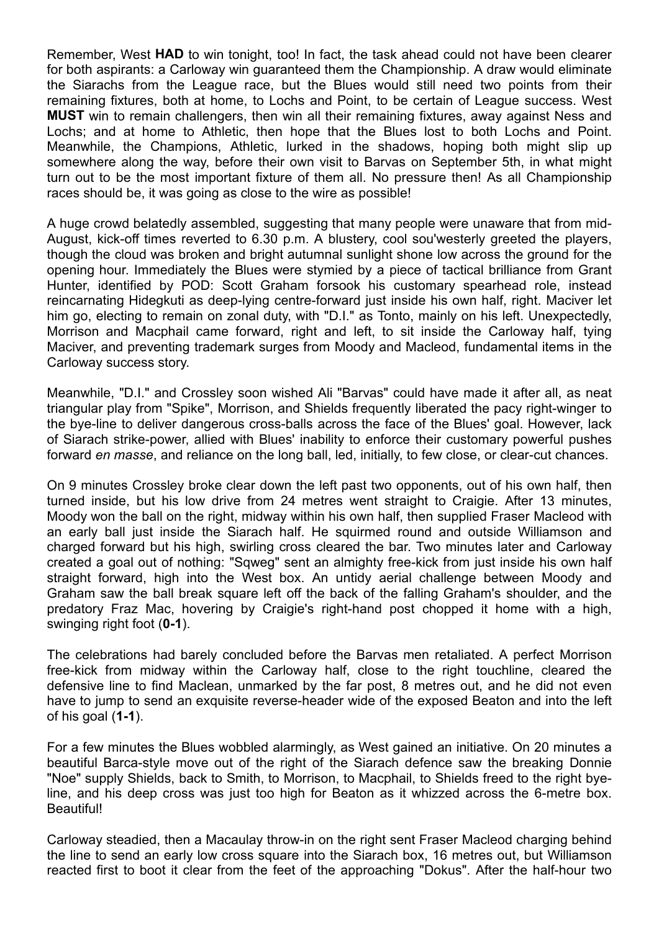Remember, West **HAD** to win tonight, too! In fact, the task ahead could not have been clearer for both aspirants: a Carloway win guaranteed them the Championship. A draw would eliminate the Siarachs from the League race, but the Blues would still need two points from their remaining fixtures, both at home, to Lochs and Point, to be certain of League success. West **MUST** win to remain challengers, then win all their remaining fixtures, away against Ness and Lochs; and at home to Athletic, then hope that the Blues lost to both Lochs and Point. Meanwhile, the Champions, Athletic, lurked in the shadows, hoping both might slip up somewhere along the way, before their own visit to Barvas on September 5th, in what might turn out to be the most important fixture of them all. No pressure then! As all Championship races should be, it was going as close to the wire as possible!

A huge crowd belatedly assembled, suggesting that many people were unaware that from mid-August, kick-off times reverted to 6.30 p.m. A blustery, cool sou'westerly greeted the players, though the cloud was broken and bright autumnal sunlight shone low across the ground for the opening hour. Immediately the Blues were stymied by a piece of tactical brilliance from Grant Hunter, identified by POD: Scott Graham forsook his customary spearhead role, instead reincarnating Hidegkuti as deep-lying centre-forward just inside his own half, right. Maciver let him go, electing to remain on zonal duty, with "D.I." as Tonto, mainly on his left. Unexpectedly, Morrison and Macphail came forward, right and left, to sit inside the Carloway half, tying Maciver, and preventing trademark surges from Moody and Macleod, fundamental items in the Carloway success story.

Meanwhile, "D.I." and Crossley soon wished Ali "Barvas" could have made it after all, as neat triangular play from "Spike", Morrison, and Shields frequently liberated the pacy right-winger to the bye-line to deliver dangerous cross-balls across the face of the Blues' goal. However, lack of Siarach strike-power, allied with Blues' inability to enforce their customary powerful pushes forward *en masse*, and reliance on the long ball, led, initially, to few close, or clear-cut chances.

On 9 minutes Crossley broke clear down the left past two opponents, out of his own half, then turned inside, but his low drive from 24 metres went straight to Craigie. After 13 minutes, Moody won the ball on the right, midway within his own half, then supplied Fraser Macleod with an early ball just inside the Siarach half. He squirmed round and outside Williamson and charged forward but his high, swirling cross cleared the bar. Two minutes later and Carloway created a goal out of nothing: "Sqweg" sent an almighty free-kick from just inside his own half straight forward, high into the West box. An untidy aerial challenge between Moody and Graham saw the ball break square left off the back of the falling Graham's shoulder, and the predatory Fraz Mac, hovering by Craigie's right-hand post chopped it home with a high, swinging right foot (**0-1**).

The celebrations had barely concluded before the Barvas men retaliated. A perfect Morrison free-kick from midway within the Carloway half, close to the right touchline, cleared the defensive line to find Maclean, unmarked by the far post, 8 metres out, and he did not even have to jump to send an exquisite reverse-header wide of the exposed Beaton and into the left of his goal (**1-1**).

For a few minutes the Blues wobbled alarmingly, as West gained an initiative. On 20 minutes a beautiful Barca-style move out of the right of the Siarach defence saw the breaking Donnie "Noe" supply Shields, back to Smith, to Morrison, to Macphail, to Shields freed to the right byeline, and his deep cross was just too high for Beaton as it whizzed across the 6-metre box. Beautiful!

Carloway steadied, then a Macaulay throw-in on the right sent Fraser Macleod charging behind the line to send an early low cross square into the Siarach box, 16 metres out, but Williamson reacted first to boot it clear from the feet of the approaching "Dokus". After the half-hour two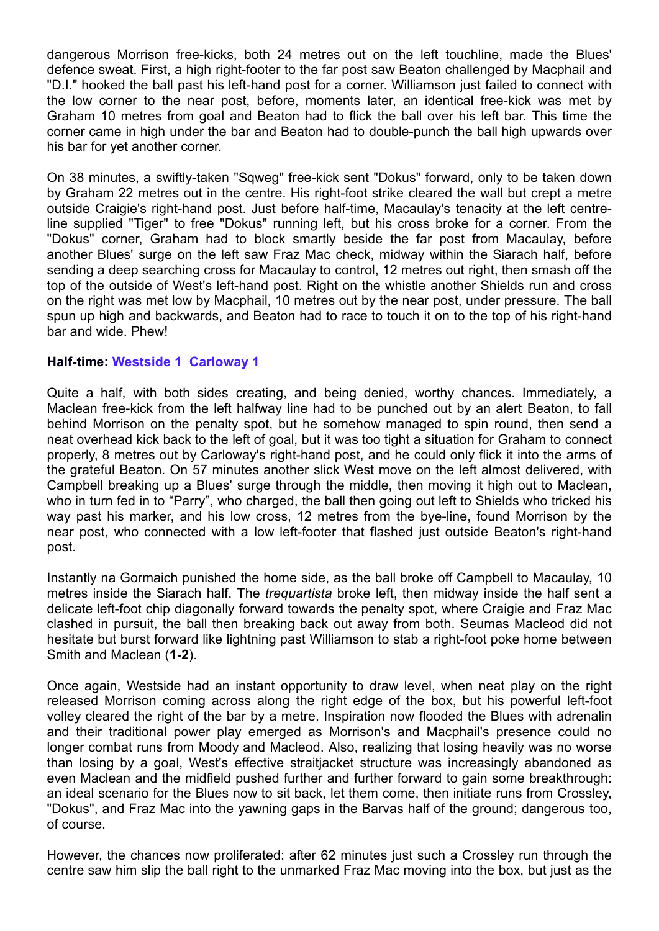dangerous Morrison free-kicks, both 24 metres out on the left touchline, made the Blues' defence sweat. First, a high right-footer to the far post saw Beaton challenged by Macphail and "D.I." hooked the ball past his left-hand post for a corner. Williamson just failed to connect with the low corner to the near post, before, moments later, an identical free-kick was met by Graham 10 metres from goal and Beaton had to flick the ball over his left bar. This time the corner came in high under the bar and Beaton had to double-punch the ball high upwards over his bar for yet another corner.

On 38 minutes, a swiftly-taken "Sqweg" free-kick sent "Dokus" forward, only to be taken down by Graham 22 metres out in the centre. His right-foot strike cleared the wall but crept a metre outside Craigie's right-hand post. Just before half-time, Macaulay's tenacity at the left centreline supplied "Tiger" to free "Dokus" running left, but his cross broke for a corner. From the "Dokus" corner, Graham had to block smartly beside the far post from Macaulay, before another Blues' surge on the left saw Fraz Mac check, midway within the Siarach half, before sending a deep searching cross for Macaulay to control, 12 metres out right, then smash off the top of the outside of West's left-hand post. Right on the whistle another Shields run and cross on the right was met low by Macphail, 10 metres out by the near post, under pressure. The ball spun up high and backwards, and Beaton had to race to touch it on to the top of his right-hand bar and wide. Phew!

## **Half-time: Westside 1 Carloway 1**

Quite a half, with both sides creating, and being denied, worthy chances. Immediately, a Maclean free-kick from the left halfway line had to be punched out by an alert Beaton, to fall behind Morrison on the penalty spot, but he somehow managed to spin round, then send a neat overhead kick back to the left of goal, but it was too tight a situation for Graham to connect properly, 8 metres out by Carloway's right-hand post, and he could only flick it into the arms of the grateful Beaton. On 57 minutes another slick West move on the left almost delivered, with Campbell breaking up a Blues' surge through the middle, then moving it high out to Maclean, who in turn fed in to "Parry", who charged, the ball then going out left to Shields who tricked his way past his marker, and his low cross, 12 metres from the bye-line, found Morrison by the near post, who connected with a low left-footer that flashed just outside Beaton's right-hand post.

Instantly na Gormaich punished the home side, as the ball broke off Campbell to Macaulay, 10 metres inside the Siarach half. The *trequartista* broke left, then midway inside the half sent a delicate left-foot chip diagonally forward towards the penalty spot, where Craigie and Fraz Mac clashed in pursuit, the ball then breaking back out away from both. Seumas Macleod did not hesitate but burst forward like lightning past Williamson to stab a right-foot poke home between Smith and Maclean (**1-2**).

Once again, Westside had an instant opportunity to draw level, when neat play on the right released Morrison coming across along the right edge of the box, but his powerful left-foot volley cleared the right of the bar by a metre. Inspiration now flooded the Blues with adrenalin and their traditional power play emerged as Morrison's and Macphail's presence could no longer combat runs from Moody and Macleod. Also, realizing that losing heavily was no worse than losing by a goal, West's effective straitjacket structure was increasingly abandoned as even Maclean and the midfield pushed further and further forward to gain some breakthrough: an ideal scenario for the Blues now to sit back, let them come, then initiate runs from Crossley, "Dokus", and Fraz Mac into the yawning gaps in the Barvas half of the ground; dangerous too, of course.

However, the chances now proliferated: after 62 minutes just such a Crossley run through the centre saw him slip the ball right to the unmarked Fraz Mac moving into the box, but just as the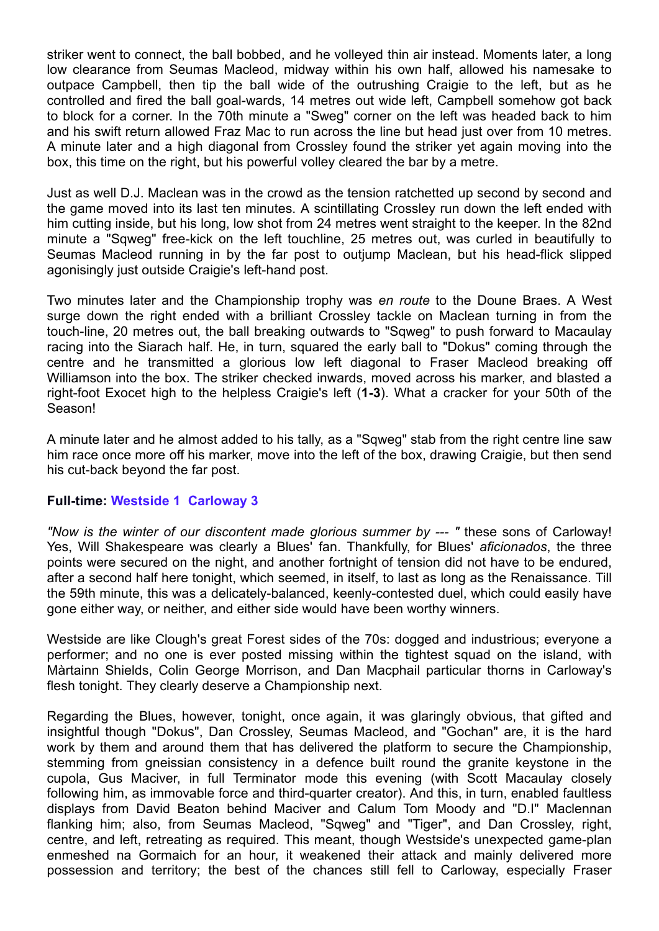striker went to connect, the ball bobbed, and he volleyed thin air instead. Moments later, a long low clearance from Seumas Macleod, midway within his own half, allowed his namesake to outpace Campbell, then tip the ball wide of the outrushing Craigie to the left, but as he controlled and fired the ball goal-wards, 14 metres out wide left, Campbell somehow got back to block for a corner. In the 70th minute a "Sweg" corner on the left was headed back to him and his swift return allowed Fraz Mac to run across the line but head just over from 10 metres. A minute later and a high diagonal from Crossley found the striker yet again moving into the box, this time on the right, but his powerful volley cleared the bar by a metre.

Just as well D.J. Maclean was in the crowd as the tension ratchetted up second by second and the game moved into its last ten minutes. A scintillating Crossley run down the left ended with him cutting inside, but his long, low shot from 24 metres went straight to the keeper. In the 82nd minute a "Sqweg" free-kick on the left touchline, 25 metres out, was curled in beautifully to Seumas Macleod running in by the far post to outjump Maclean, but his head-flick slipped agonisingly just outside Craigie's left-hand post.

Two minutes later and the Championship trophy was *en route* to the Doune Braes. A West surge down the right ended with a brilliant Crossley tackle on Maclean turning in from the touch-line, 20 metres out, the ball breaking outwards to "Sqweg" to push forward to Macaulay racing into the Siarach half. He, in turn, squared the early ball to "Dokus" coming through the centre and he transmitted a glorious low left diagonal to Fraser Macleod breaking off Williamson into the box. The striker checked inwards, moved across his marker, and blasted a right-foot Exocet high to the helpless Craigie's left (**1-3**). What a cracker for your 50th of the Season!

A minute later and he almost added to his tally, as a "Sqweg" stab from the right centre line saw him race once more off his marker, move into the left of the box, drawing Craigie, but then send his cut-back beyond the far post.

## **Full-time: Westside 1 Carloway 3**

*"Now is the winter of our discontent made glorious summer by --- "* these sons of Carloway! Yes, Will Shakespeare was clearly a Blues' fan. Thankfully, for Blues' *aficionados*, the three points were secured on the night, and another fortnight of tension did not have to be endured, after a second half here tonight, which seemed, in itself, to last as long as the Renaissance. Till the 59th minute, this was a delicately-balanced, keenly-contested duel, which could easily have gone either way, or neither, and either side would have been worthy winners.

Westside are like Clough's great Forest sides of the 70s: dogged and industrious; everyone a performer; and no one is ever posted missing within the tightest squad on the island, with Màrtainn Shields, Colin George Morrison, and Dan Macphail particular thorns in Carloway's flesh tonight. They clearly deserve a Championship next.

Regarding the Blues, however, tonight, once again, it was glaringly obvious, that gifted and insightful though "Dokus", Dan Crossley, Seumas Macleod, and "Gochan" are, it is the hard work by them and around them that has delivered the platform to secure the Championship, stemming from gneissian consistency in a defence built round the granite keystone in the cupola, Gus Maciver, in full Terminator mode this evening (with Scott Macaulay closely following him, as immovable force and third-quarter creator). And this, in turn, enabled faultless displays from David Beaton behind Maciver and Calum Tom Moody and "D.I" Maclennan flanking him; also, from Seumas Macleod, "Sqweg" and "Tiger", and Dan Crossley, right, centre, and left, retreating as required. This meant, though Westside's unexpected game-plan enmeshed na Gormaich for an hour, it weakened their attack and mainly delivered more possession and territory; the best of the chances still fell to Carloway, especially Fraser